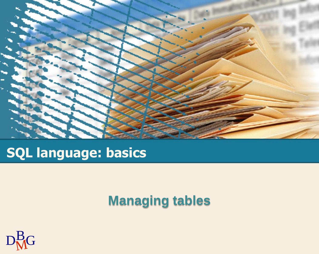

# **SQL language: basics**

## **Managing tables**

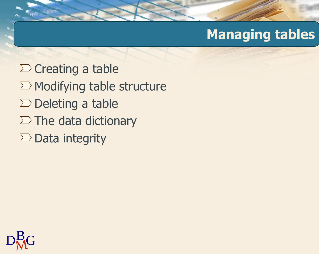## **Managing tables**

 $\Sigma$  Creating a table  $\Sigma$  Modifying table structure  $\Sigma$  Deleting a table  $\Sigma$  The data dictionary  $\Sigma$  Data integrity

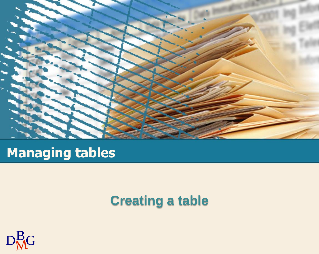

## **Managing tables**

## **Creating a table**

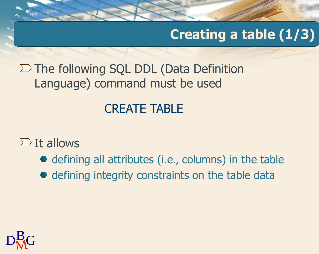# **Creating a table (1/3)**

 $\Sigma$  The following SQL DDL (Data Definition Language) command must be used

### CREATE TABLE

#### $\sum$  It allows

- defining all attributes (i.e., columns) in the table
- defining integrity constraints on the table data

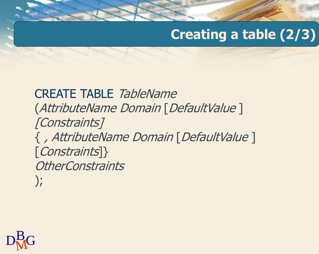# **Creating a table (2/3)**

CREATE TABLE TableName (AttributeName Domain [DefaultValue ] [Constraints] { , AttributeName Domain [DefaultValue ] [Constraints]} **OtherConstraints** );

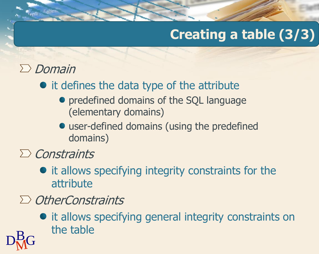# **Creating a table (3/3)**

### $\sum$  Domain

- it defines the data type of the attribute
	- predefined domains of the SQL language (elementary domains)
	- user-defined domains (using the predefined domains)

 $\sum$  Constraints

- it allows specifying integrity constraints for the attribute
- $\sum$  OtherConstraints
- $D<sub>M</sub><sup>B</sup>G$  $\bullet$  it allows specifying general integrity constraints on the table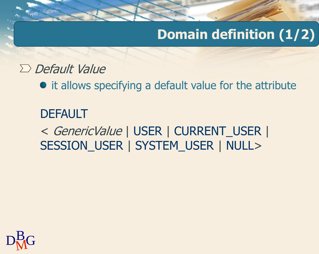# **Domain definition (1/2)**

#### $\Sigma$  Default Value

• it allows specifying a default value for the attribute

# **DEFAULT** < GenericValue | USER | CURRENT\_USER | SESSION\_USER | SYSTEM\_USER | NULL>

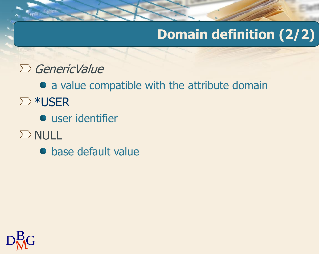# **Domain definition (2/2)**

- $\sum$  GenericValue
- a value compatible with the attribute domain ∑ \*USER
	- **•** user identifier
- $\sum$  NULL
	- base default value

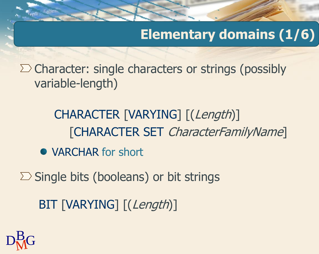## **Elementary domains (1/6)**

 $\Sigma$  Character: single characters or strings (possibly variable-length)

> CHARACTER [VARYING] [(Length)] [CHARACTER SET CharacterFamilyName]

- VARCHAR for short
- $\Sigma$  Single bits (booleans) or bit strings

BIT [VARYING] [(Length)]

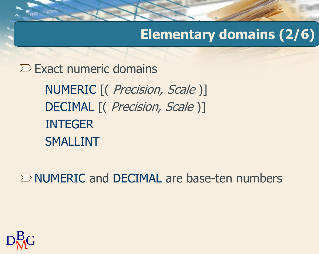## **Elementary domains (2/6)**

NUMERIC [( *Precision, Scale* )] DECIMAL [( *Precision, Scale* )] INTEGER SMALLINT  $\Sigma$  Exact numeric domains

 $\Sigma$  NUMERIC and DECIMAL are base-ten numbers

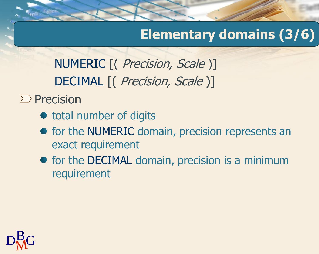## **Elementary domains (3/6)**

NUMERIC [( *Precision, Scale* )] DECIMAL [( *Precision, Scale* )]

 $\sum$  Precision

- total number of digits
- **•** for the NUMERIC domain, precision represents an exact requirement
- for the DECIMAL domain, precision is a minimum requirement

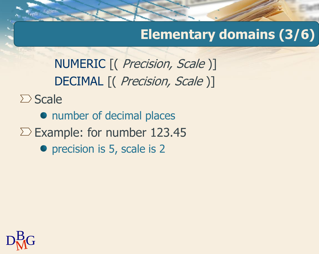## **Elementary domains (3/6)**

NUMERIC [( Precision, Scale )] DECIMAL [( Precision, Scale )]

 $\sum$  Scale

• number of decimal places

 $\Sigma$  Example: for number 123.45

• precision is 5, scale is 2

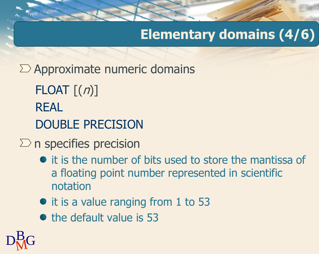# **Elementary domains (4/6)**

 $\Sigma$  Approximate numeric domains

FLOAT  $\lceil (n) \rceil$ REAL DOUBLE PRECISION

#### $\sum$ n specifies precision

- $\bullet$  it is the number of bits used to store the mantissa of a floating point number represented in scientific notation
- it is a value ranging from 1 to 53
- $\bullet$  the default value is 53

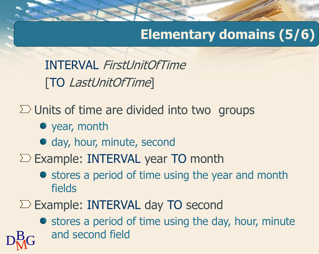## **Elementary domains (5/6)**

INTERVAL FirstUnitOfTime [TO LastUnitOfTime]

 $\Sigma$  Units of time are divided into two groups

- year, month
- day, hour, minute, second
- $\Sigma$  Example: INTERVAL year TO month
	- stores a period of time using the year and month fields
- $\Sigma$  Example: INTERVAL day TO second

 $D_{\rm M}^{\rm B}$ G and second field • stores a period of time using the day, hour, minute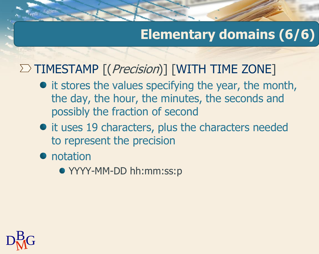## **Elementary domains (6/6)**

### $\Sigma$  TIMESTAMP  $[(Precision)]$  [WITH TIME ZONE]

- it stores the values specifying the year, the month, the day, the hour, the minutes, the seconds and possibly the fraction of second
- $\bullet$  it uses 19 characters, plus the characters needed to represent the precision
- notation
	- YYYY-MM-DD hh:mm:ss:p

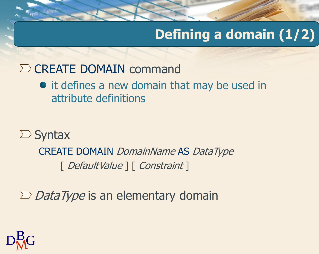# **Defining a domain (1/2)**

### $\Sigma$  CREATE DOMAIN command

#### • it defines a new domain that may be used in attribute definitions

## $\sum$  Syntax CREATE DOMAIN DomainName AS DataType [ DefaultValue ] [ Constraint ]

 $\sum$  *DataType* is an elementary domain

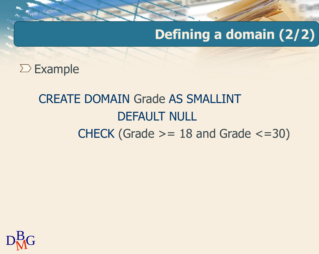## **Defining a domain (2/2)**

 $\Sigma$  Example

# CREATE DOMAIN Grade AS SMALLINT DEFAULT NULL CHECK (Grade  $>= 18$  and Grade  $<= 30$ )

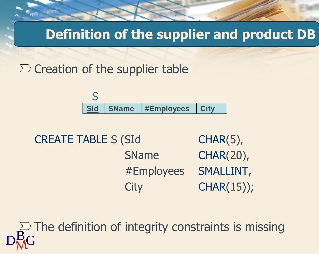**Definition of the supplier and product DB**

 $\Sigma$  Creation of the supplier table



CREATE TABLE S (SId CHAR(5), SName CHAR(20), #Employees SMALLINT, City CHAR(15));

 $D<sub>M</sub>$ G  $\geq$  The definition of integrity constraints is missing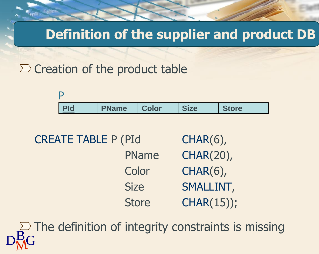#### **Definition of the supplier and product DB**

 $\Sigma$  Creation of the product table

**PId PName Color Size Store** P

CREATE TABLE P (PId CHAR(6), PName CHAR(20), Color CHAR(6), Size SMALLINT, Store CHAR(15));

 $D<sub>M</sub>$ G  $\geq$  The definition of integrity constraints is missing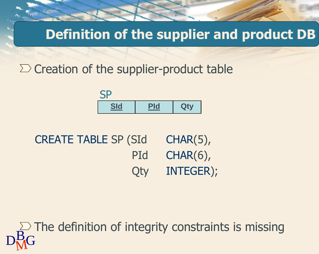**Definition of the supplier and product DB**

 $\Sigma$  Creation of the supplier-product table



| <b>CREATE TABLE SP (SId)</b> | $CHAR(5)$ , |
|------------------------------|-------------|
| PId                          | $CHAR(6)$ , |
| <b>Qty</b>                   | INTEGER);   |

 $D<sub>M</sub>$ G  $\geq$  The definition of integrity constraints is missing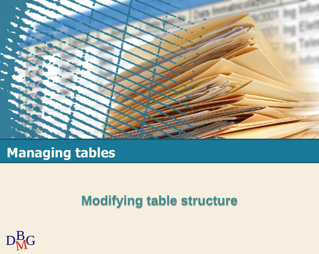

## **Managing tables**

## **Modifying table structure**

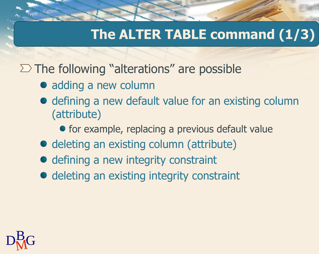## **The ALTER TABLE command (1/3)**

 $\Sigma$  The following "alterations" are possible

- adding a new column
- $\bullet$  defining a new default value for an existing column (attribute)
	- for example, replacing a previous default value
- deleting an existing column (attribute)
- defining a new integrity constraint
- deleting an existing integrity constraint

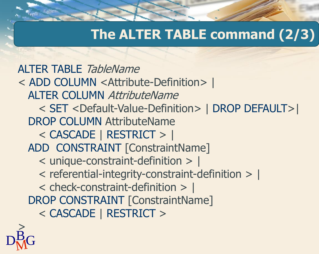## **The ALTER TABLE command (2/3)**

ALTER TABLE TableName < ADD COLUMN <Attribute-Definition> | ALTER COLUMN AttributeName < SET <Default-Value-Definition> | DROP DEFAULT>| DROP COLUMN AttributeName < CASCADE | RESTRICT > | ADD CONSTRAINT [ConstraintName] < unique-constraint-definition > | < referential-integrity-constraint-definition > | < check-constraint-definition > | DROP CONSTRAINT [ConstraintName] < CASCADE | RESTRICT >

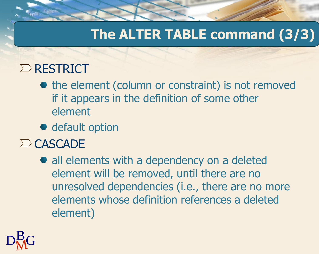## **The ALTER TABLE command (3/3)**

## $\Sigma$  RESTRICT

- the element (column or constraint) is not removed if it appears in the definition of some other element
- **•** default option
- $\sum$  CASCADE
	- all elements with a dependency on a deleted element will be removed, until there are no unresolved dependencies (i.e., there are no more elements whose definition references a deleted element)

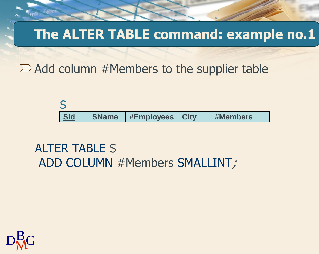### **The ALTER TABLE command: example no.1**

 $\sum$  Add column #Members to the supplier table



ALTER TABLE S ADD COLUMN #Members SMALLINT;

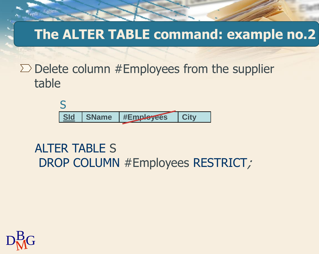## **The ALTER TABLE command: example no.2**

 $\Sigma$  Delete column #Employees from the supplier table



#### ALTER TABLE S DROP COLUMN #Employees RESTRICT;

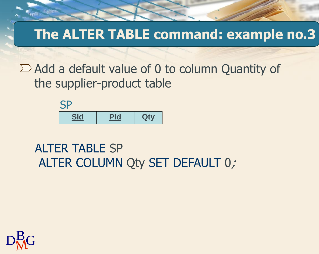## **The ALTER TABLE command: example no.3**

 $\sum$  Add a default value of 0 to column Quantity of the supplier-product table



#### ALTER TABLE SP ALTER COLUMN Qty SET DEFAULT 0;

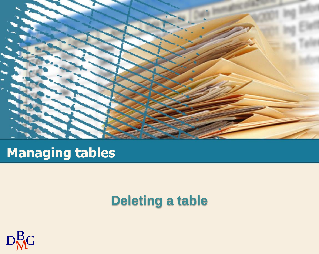

## **Managing tables**

### **Deleting a table**

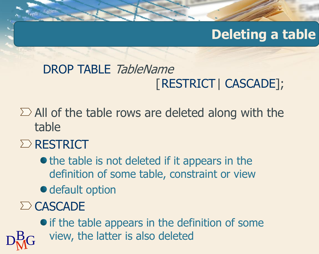## **Deleting a table**

## DROP TABLE TableName [RESTRICT| CASCADE];

 $\sum$  All of the table rows are deleted along with the table

#### $\Sigma$  RESTRICT

- $\bullet$  the table is not deleted if it appears in the definition of some table, constraint or view
- **·** default option

### $\sum$  CASCADE

 $\mathrm{D}^{\mathrm{B}}_{\mathrm{M}}$ G view, the latter is also deleted • if the table appears in the definition of some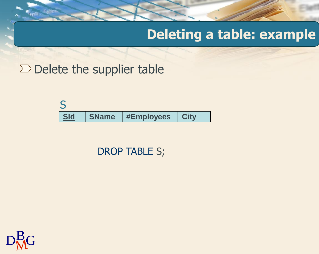### **Deleting a table: example**

 $\Sigma$  Delete the supplier table

|  | <b>Sld</b> | SName | <b>#Employees   City</b> |  |
|--|------------|-------|--------------------------|--|

DROP TABLE S;

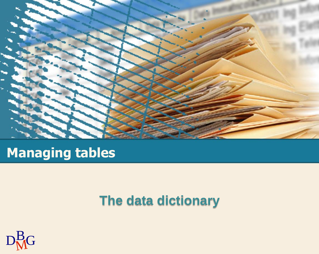

## **Managing tables**

### **The data dictionary**

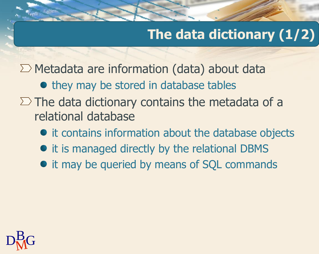# **The data dictionary (1/2)**

 $\sum$  Metadata are information (data) about data

• they may be stored in database tables

- $\Sigma$  The data dictionary contains the metadata of a relational database
	- it contains information about the database objects
	- it is managed directly by the relational DBMS
	- it may be queried by means of SQL commands

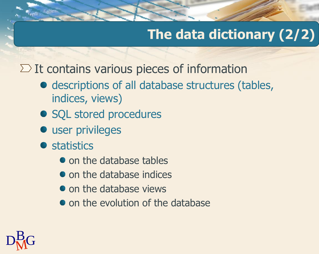# **The data dictionary (2/2)**

 $\Sigma$  It contains various pieces of information

- descriptions of all database structures (tables, indices, views)
- SQL stored procedures
- $\bullet$  user privileges
- **•** statistics
	- on the database tables
	- on the database indices
	- on the database views
	- $\bullet$  on the evolution of the database

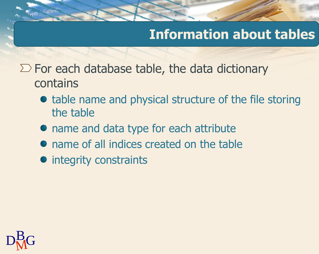### **Information about tables**

- $\Sigma$  For each database table, the data dictionary contains
	- table name and physical structure of the file storing the table
	- name and data type for each attribute
	- name of all indices created on the table
	- integrity constraints

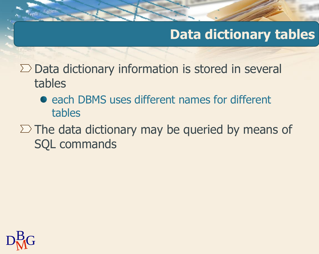## **Data dictionary tables**

 $\Sigma$  Data dictionary information is stored in several tables

- each DBMS uses different names for different tables
- $\Sigma$  The data dictionary may be queried by means of SQL commands

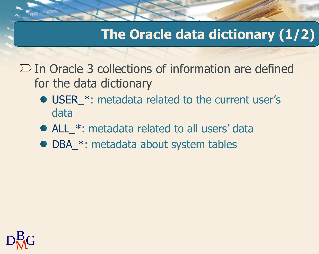## **The Oracle data dictionary (1/2)**

- $\Sigma$  In Oracle 3 collections of information are defined for the data dictionary
	- USER\_\*: metadata related to the current user's data
	- ALL \*: metadata related to all users' data
	- DBA\_\*: metadata about system tables

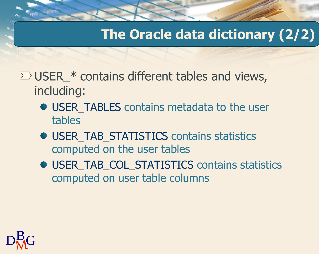#### **The Oracle data dictionary (2/2)**

- $\Sigma$  USER\_\* contains different tables and views, including:
	- USER\_TABLES contains metadata to the user tables
	- USER\_TAB\_STATISTICS contains statistics computed on the user tables
	- USER\_TAB\_COL\_STATISTICS contains statistics computed on user table columns

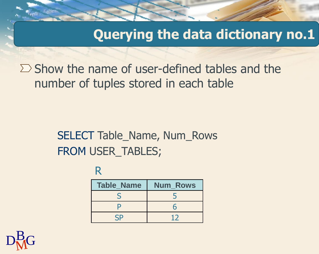**Querying the data dictionary no.1**

 $\sum$  Show the name of user-defined tables and the number of tuples stored in each table

#### SELECT Table\_Name, Num\_Rows FROM USER\_TABLES;

R

| <b>Table_Name</b> | <b>Num Rows</b> |
|-------------------|-----------------|
|                   |                 |
| D                 |                 |
| ςp                | 12              |

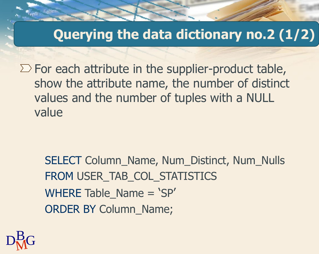#### **Querying the data dictionary no.2 (1/2)**

 $\Sigma$  For each attribute in the supplier-product table, show the attribute name, the number of distinct values and the number of tuples with a NULL value

SELECT Column\_Name, Num\_Distinct, Num\_Nulls FROM USER\_TAB\_COL\_STATISTICS WHERE Table  $Name = 'SP'$ ORDER BY Column\_Name;

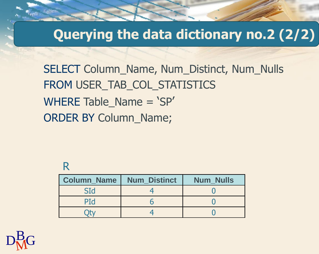#### **Querying the data dictionary no.2 (2/2)**

SELECT Column\_Name, Num\_Distinct, Num\_Nulls FROM USER\_TAB\_COL\_STATISTICS WHERE Table Name = 'SP' ORDER BY Column\_Name;

#### R

| <b>Column Name</b> | <b>Num Distinct</b> | <b>Num Nulls</b> |
|--------------------|---------------------|------------------|
| SId                |                     |                  |
| PId                |                     |                  |
|                    |                     |                  |

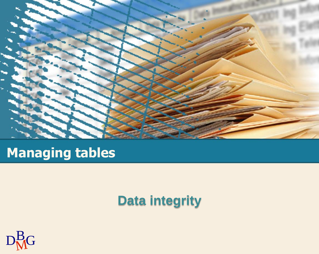

# **Managing tables**

#### **Data integrity**

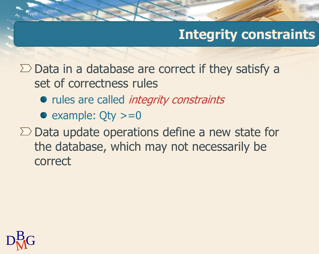# **Integrity constraints**

 $\Sigma$  Data in a database are correct if they satisfy a set of correctness rules

- rules are called *integrity constraints*
- example:  $Qty >= 0$
- $\Sigma$  Data update operations define a new state for the database, which may not necessarily be correct

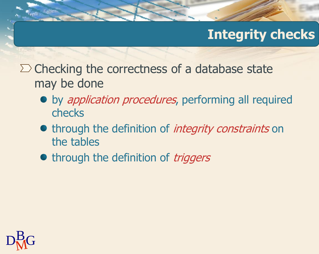### **Integrity checks**

- $\Sigma$  Checking the correctness of a database state may be done
	- by *application procedures*, performing all required checks
	- through the definition of *integrity constraints* on the tables
	- through the definition of *triggers*

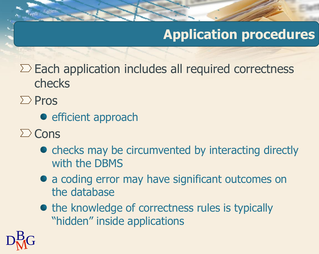## **Application procedures**

 $\Sigma$  Each application includes all required correctness checks

- $\sum$  Pros
	- **e** efficient approach
- $\sum$  Cons
	- checks may be circumvented by interacting directly with the DBMS
	- a coding error may have significant outcomes on the database
	- the knowledge of correctness rules is typically "hidden" inside applications

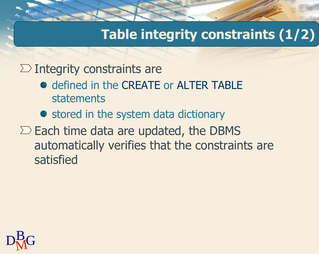# **Table integrity constraints (1/2)**

 $\Sigma$  Integrity constraints are

- defined in the CREATE or ALTER TABLE statements
- stored in the system data dictionary
- $\Sigma$  Each time data are updated, the DBMS automatically verifies that the constraints are satisfied

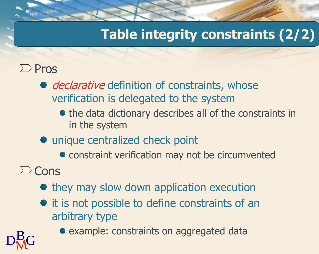# **Table integrity constraints (2/2)**

#### $\sum$  Pros

- declarative definition of constraints, whose verification is delegated to the system
	- the data dictionary describes all of the constraints in in the system
- unique centralized check point
	- constraint verification may not be circumvented
- $\sum$  Cons
	- they may slow down application execution
	- $\bullet$  it is not possible to define constraints of an arbitrary type



example: constraints on aggregated data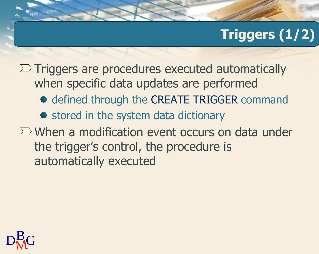# **Triggers (1/2)**

 $\Sigma$  Triggers are procedures executed automatically when specific data updates are performed

- $\bullet$  defined through the CREATE TRIGGER command
- stored in the system data dictionary
- $\Sigma$  When a modification event occurs on data under the trigger's control, the procedure is automatically executed

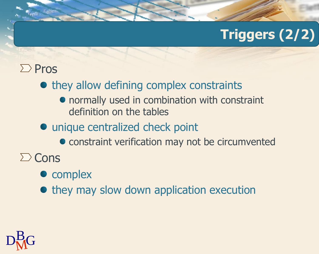# **Triggers (2/2)**

#### $\sum$  Pros

- they allow defining complex constraints
	- normally used in combination with constraint definition on the tables
- unique centralized check point
	- constraint verification may not be circumvented
- $\sum$  Cons
	- complex
	- $\bullet$  they may slow down application execution

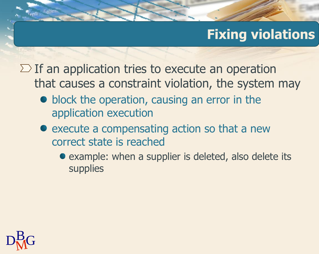# **Fixing violations**

 $\Sigma$  If an application tries to execute an operation that causes a constraint violation, the system may

- block the operation, causing an error in the application execution
- execute a compensating action so that a new correct state is reached
	- example: when a supplier is deleted, also delete its supplies

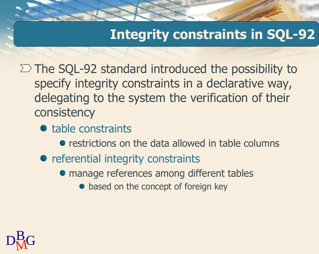#### **Integrity constraints in SQL-92**

 $\Sigma$  The SQL-92 standard introduced the possibility to specify integrity constraints in a declarative way, delegating to the system the verification of their consistency

- table constraints
	- **•** restrictions on the data allowed in table columns
- referential integrity constraints
	- manage references among different tables
		- based on the concept of foreign key

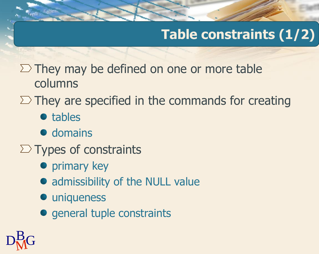# **Table constraints (1/2)**

- $\Sigma$  They may be defined on one or more table columns
- $\Sigma$  They are specified in the commands for creating
	- tables
	- $\bullet$  domains
- $\Sigma$  Types of constraints
	- **•** primary key
	- admissibility of the NULL value
	- uniqueness
	- general tuple constraints

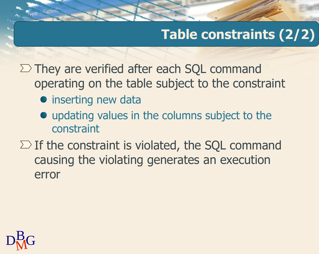# **Table constraints (2/2)**

 $\Sigma$  They are verified after each SQL command operating on the table subject to the constraint

- inserting new data
- updating values in the columns subject to the constraint
- $\Sigma$  If the constraint is violated, the SQL command causing the violating generates an execution error

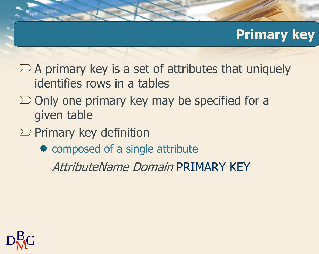#### **Primary key**

- $\Sigma$  A primary key is a set of attributes that uniquely identifies rows in a tables
- $\Sigma$  Only one primary key may be specified for a given table
- $\Sigma$  Primary key definition
	- composed of a single attribute

AttributeName Domain PRIMARY KEY

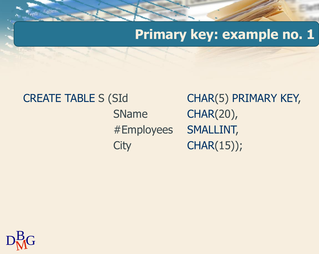#### **Primary key: example no. 1**

CREATE TABLE S (SId CHAR(5) PRIMARY KEY,

SName CHAR(20), #Employees SMALLINT, City CHAR(15));

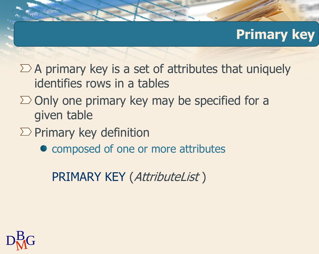#### **Primary key**

- $\Sigma$  A primary key is a set of attributes that uniquely identifies rows in a tables
- $\Sigma$  Only one primary key may be specified for a given table
- $\Sigma$  Primary key definition
	- composed of one or more attributes

PRIMARY KEY (AttributeList )

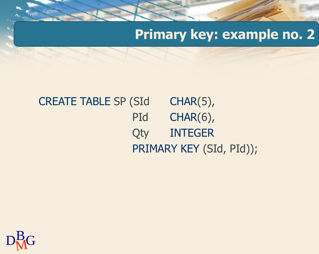#### **Primary key: example no. 2**

#### CREATE TABLE SP (SId CHAR(5), PId CHAR(6), Qty INTEGER PRIMARY KEY (SId, PId));

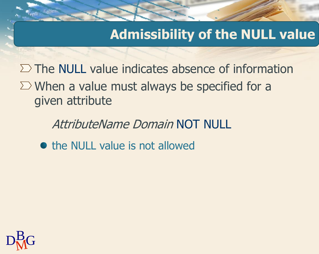#### **Admissibility of the NULL value**

 $\Sigma$  The NULL value indicates absence of information  $\sum$  When a value must always be specified for a given attribute

AttributeName Domain NOT NULL

• the NULL value is not allowed

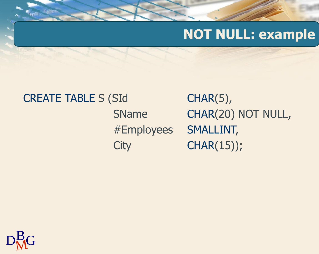#### **NOT NULL: example**

CREATE TABLE S (SId
CHAR(5),

SName CHAR(20) NOT NULL, #Employees SMALLINT, City CHAR(15));

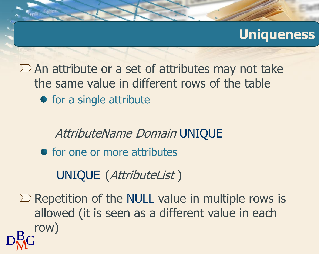#### **Uniqueness**

 $\Sigma$  An attribute or a set of attributes may not take the same value in different rows of the table

• for a single attribute

AttributeName Domain UNIQUE

• for one or more attributes

UNIQUE (AttributeList )

 $D<sub>M</sub>$ G  $\Sigma$  Repetition of the NULL value in multiple rows is allowed (it is seen as a different value in each row)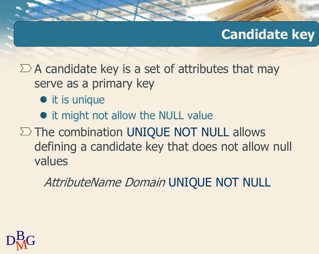#### **Candidate key**

 $\Sigma$  A candidate key is a set of attributes that may serve as a primary key

- it is unique
- it might not allow the NULL value
- $\Sigma$  The combination UNIQUE NOT NULL allows defining a candidate key that does not allow null values

AttributeName Domain UNIQUE NOT NULL

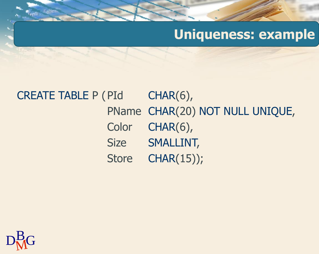#### **Uniqueness: example**

#### CREATE TABLE P (PId CHAR(6), PName CHAR(20) NOT NULL UNIQUE, Color CHAR(6), Size SMALLINT, Store CHAR(15));

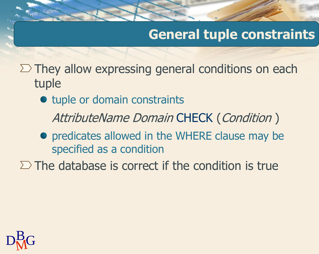#### **General tuple constraints**

 $\Sigma$  They allow expressing general conditions on each tuple

• tuple or domain constraints

AttributeName Domain CHECK (Condition)

• predicates allowed in the WHERE clause may be specified as a condition

 $\Sigma$  The database is correct if the condition is true

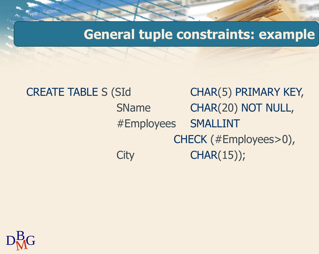**General tuple constraints: example**

# CREATE TABLE S (SId CHAR(5) PRIMARY KEY, SName CHAR(20) NOT NULL, #Employees SMALLINT CHECK (#Employees>0), City CHAR(15));

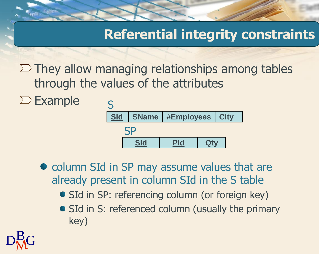#### **Referential integrity constraints**

 $\Sigma$  They allow managing relationships among tables through the values of the attributes

 $\Sigma$  Example



• column SId in SP may assume values that are already present in column SId in the S table

- SId in SP: referencing column (or foreign key)
- SId in S: referenced column (usually the primary key)

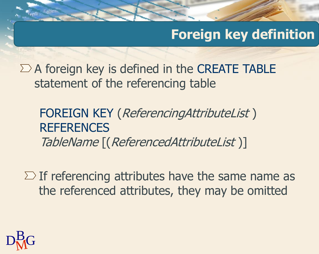#### **Foreign key definition**

 $\Sigma$  A foreign key is defined in the CREATE TABLE statement of the referencing table

FOREIGN KEY (ReferencingAttributeList ) **REFERENCES** TableName [(ReferencedAttributeList )]

 $\Sigma$  If referencing attributes have the same name as the referenced attributes, they may be omitted

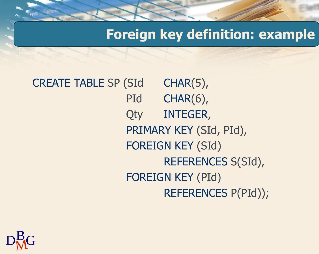## **Foreign key definition: example**

CREATE TABLE SP (SId CHAR(5), PId CHAR(6), Qty INTEGER, PRIMARY KEY (SId, PId), FOREIGN KEY (SId) REFERENCES S(SId), FOREIGN KEY (PId) REFERENCES P(PId));

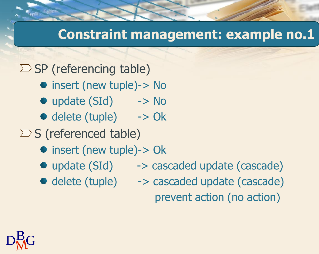#### **Constraint management: example no.1**

 $\sum$  SP (referencing table)

- insert (new tuple)-> No
- update (SId) -> No
- delete (tuple) -> Ok

 $\sum S$  (referenced table)

- insert (new tuple)-> Ok
- 
- update (SId) -> cascaded update (cascade)
- 
- delete (tuple) -> cascaded update (cascade) prevent action (no action)

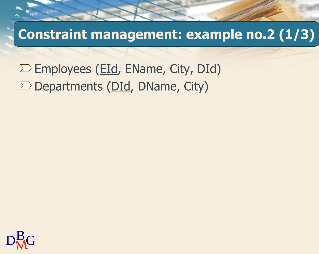**Constraint management: example no.2 (1/3)**

 $\Sigma$  Employees (EId, EName, City, DId)  $\Sigma$  Departments (DId, DName, City)

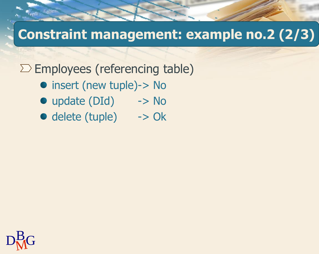# **Constraint management: example no.2 (2/3)**

 $\Sigma$  Employees (referencing table)

- insert (new tuple)-> No
- update (DId) -> No
- delete (tuple) -> Ok

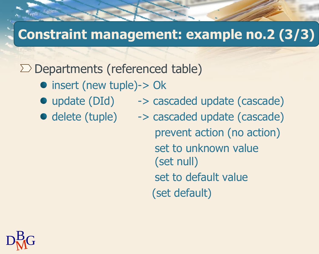#### **Constraint management: example no.2 (3/3)**

 $\Sigma$  Departments (referenced table)

- insert (new tuple)-> Ok
- 
- 
- update (DId) -> cascaded update (cascade)
- delete (tuple) -> cascaded update (cascade) prevent action (no action) set to unknown value (set null) set to default value (set default)

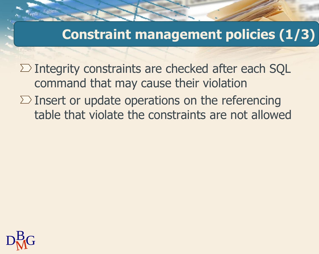#### **Constraint management policies (1/3)**

 $\Sigma$  Integrity constraints are checked after each SQL command that may cause their violation

 $\Sigma$  Insert or update operations on the referencing table that violate the constraints are not allowed

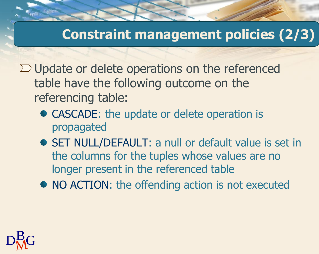#### **Constraint management policies (2/3)**

 $\Sigma$  Update or delete operations on the referenced table have the following outcome on the referencing table:

- CASCADE: the update or delete operation is propagated
- SET NULL/DEFAULT: a null or default value is set in the columns for the tuples whose values are no longer present in the referenced table
- NO ACTION: the offending action is not executed

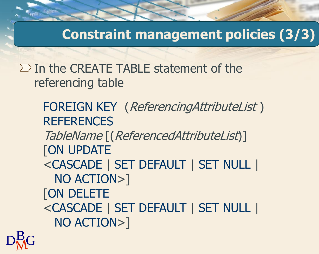**Constraint management policies (3/3)**

 $\Sigma$  In the CREATE TABLE statement of the referencing table

> FOREIGN KEY (ReferencingAttributeList ) **REFERENCES** TableName [(ReferencedAttributeList)] **[ON UPDATE** <CASCADE | SET DEFAULT | SET NULL | NO ACTION>] [ON DELETE <CASCADE | SET DEFAULT | SET NULL | NO ACTION>]

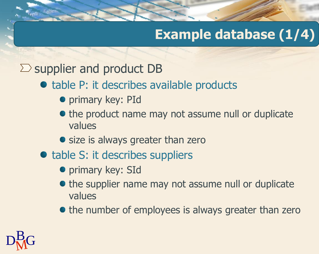# **Example database (1/4)**

 $\sum$  supplier and product DB

#### • table P: it describes available products

- **•** primary key: PId
- the product name may not assume null or duplicate values
- size is always greater than zero
- table S: it describes suppliers
	- primary key: SId
	- the supplier name may not assume null or duplicate values
	- the number of employees is always greater than zero

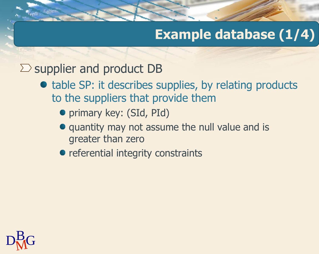# **Example database (1/4)**

#### $\sum$  supplier and product DB

- table SP: it describes supplies, by relating products to the suppliers that provide them
	- primary key: (SId, PId)
	- quantity may not assume the null value and is greater than zero
	- referential integrity constraints

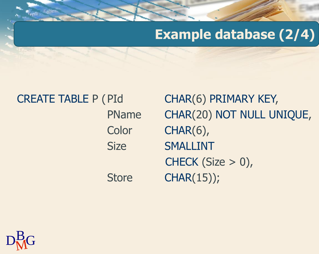### **Example database (2/4)**

CREATE TABLE P (PId CHAR(6) PRIMARY KEY,

PName CHAR(20) NOT NULL UNIQUE, Color CHAR(6), Size SMALLINT CHECK (Size  $> 0$ ), Store CHAR(15));

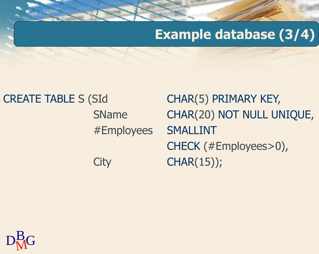### **Example database (3/4)**

## CREATE TABLE S (SId CHAR(5) PRIMARY KEY, SName CHAR(20) NOT NULL UNIQUE, #Employees SMALLINT CHECK (#Employees>0), City CHAR(15));